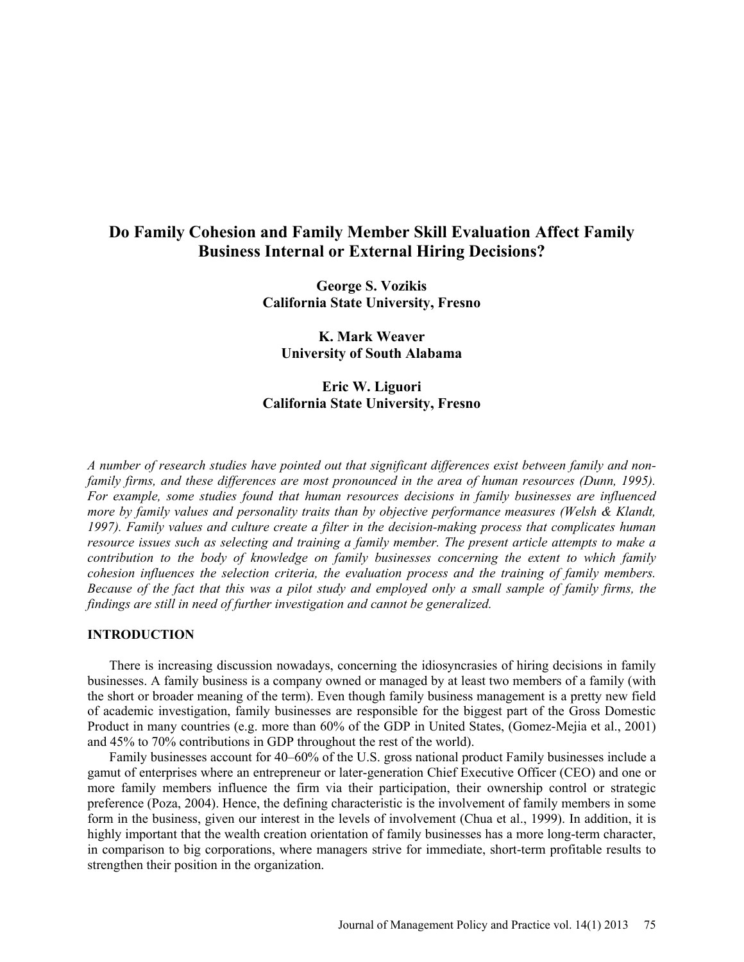# **Do Family Cohesion and Family Member Skill Evaluation Affect Family Business Internal or External Hiring Decisions?**

**George S. Vozikis California State University, Fresno** 

**K. Mark Weaver University of South Alabama** 

# **Eric W. Liguori California State University, Fresno**

*A number of research studies have pointed out that significant differences exist between family and nonfamily firms, and these differences are most pronounced in the area of human resources (Dunn, 1995). For example, some studies found that human resources decisions in family businesses are influenced more by family values and personality traits than by objective performance measures (Welsh & Klandt, 1997). Family values and culture create a filter in the decision-making process that complicates human resource issues such as selecting and training a family member. The present article attempts to make a contribution to the body of knowledge on family businesses concerning the extent to which family cohesion influences the selection criteria, the evaluation process and the training of family members. Because of the fact that this was a pilot study and employed only a small sample of family firms, the findings are still in need of further investigation and cannot be generalized.* 

# **INTRODUCTION**

There is increasing discussion nowadays, concerning the idiosyncrasies of hiring decisions in family businesses. A family business is a company owned or managed by at least two members of a family (with the short or broader meaning of the term). Even though family business management is a pretty new field of academic investigation, family businesses are responsible for the biggest part of the Gross Domestic Product in many countries (e.g. more than 60% of the GDP in United States, (Gomez-Mejia et al., 2001) and 45% to 70% contributions in GDP throughout the rest of the world).

Family businesses account for 40–60% of the U.S. gross national product Family businesses include a gamut of enterprises where an entrepreneur or later-generation Chief Executive Officer (CEO) and one or more family members influence the firm via their participation, their ownership control or strategic preference (Poza, 2004). Hence, the defining characteristic is the involvement of family members in some form in the business, given our interest in the levels of involvement (Chua et al., 1999). In addition, it is highly important that the wealth creation orientation of family businesses has a more long-term character, in comparison to big corporations, where managers strive for immediate, short-term profitable results to strengthen their position in the organization.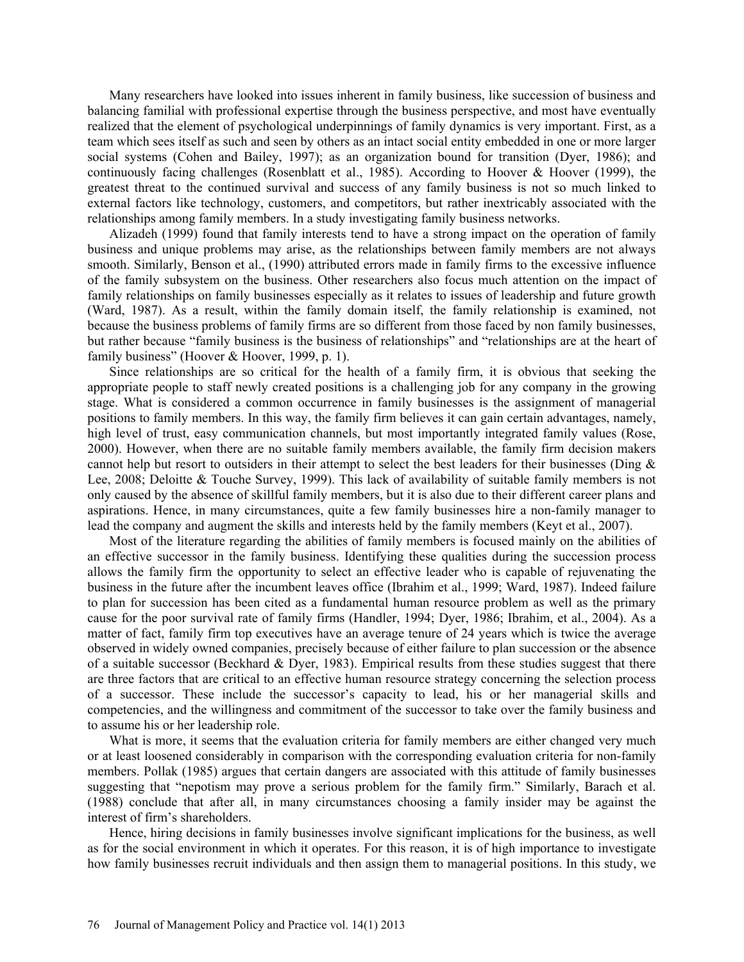Many researchers have looked into issues inherent in family business, like succession of business and balancing familial with professional expertise through the business perspective, and most have eventually realized that the element of psychological underpinnings of family dynamics is very important. First, as a team which sees itself as such and seen by others as an intact social entity embedded in one or more larger social systems (Cohen and Bailey, 1997); as an organization bound for transition (Dyer, 1986); and continuously facing challenges (Rosenblatt et al., 1985). According to Hoover  $\&$  Hoover (1999), the greatest threat to the continued survival and success of any family business is not so much linked to external factors like technology, customers, and competitors, but rather inextricably associated with the relationships among family members. In a study investigating family business networks.

Alizadeh (1999) found that family interests tend to have a strong impact on the operation of family business and unique problems may arise, as the relationships between family members are not always smooth. Similarly, Benson et al., (1990) attributed errors made in family firms to the excessive influence of the family subsystem on the business. Other researchers also focus much attention on the impact of family relationships on family businesses especially as it relates to issues of leadership and future growth (Ward, 1987). As a result, within the family domain itself, the family relationship is examined, not because the business problems of family firms are so different from those faced by non family businesses, but rather because "family business is the business of relationships" and "relationships are at the heart of family business" (Hoover & Hoover, 1999, p. 1).

Since relationships are so critical for the health of a family firm, it is obvious that seeking the appropriate people to staff newly created positions is a challenging job for any company in the growing stage. What is considered a common occurrence in family businesses is the assignment of managerial positions to family members. In this way, the family firm believes it can gain certain advantages, namely, high level of trust, easy communication channels, but most importantly integrated family values (Rose, 2000). However, when there are no suitable family members available, the family firm decision makers cannot help but resort to outsiders in their attempt to select the best leaders for their businesses (Ding  $\&$ Lee, 2008; Deloitte & Touche Survey, 1999). This lack of availability of suitable family members is not only caused by the absence of skillful family members, but it is also due to their different career plans and aspirations. Hence, in many circumstances, quite a few family businesses hire a non-family manager to lead the company and augment the skills and interests held by the family members (Keyt et al., 2007).

Most of the literature regarding the abilities of family members is focused mainly on the abilities of an effective successor in the family business. Identifying these qualities during the succession process allows the family firm the opportunity to select an effective leader who is capable of rejuvenating the business in the future after the incumbent leaves office (Ibrahim et al., 1999; Ward, 1987). Indeed failure to plan for succession has been cited as a fundamental human resource problem as well as the primary cause for the poor survival rate of family firms (Handler, 1994; Dyer, 1986; Ibrahim, et al., 2004). As a matter of fact, family firm top executives have an average tenure of 24 years which is twice the average observed in widely owned companies, precisely because of either failure to plan succession or the absence of a suitable successor (Beckhard  $&$  Dyer, 1983). Empirical results from these studies suggest that there are three factors that are critical to an effective human resource strategy concerning the selection process of a successor. These include the successor's capacity to lead, his or her managerial skills and competencies, and the willingness and commitment of the successor to take over the family business and to assume his or her leadership role.

What is more, it seems that the evaluation criteria for family members are either changed very much or at least loosened considerably in comparison with the corresponding evaluation criteria for non-family members. Pollak (1985) argues that certain dangers are associated with this attitude of family businesses suggesting that "nepotism may prove a serious problem for the family firm." Similarly, Barach et al. (1988) conclude that after all, in many circumstances choosing a family insider may be against the interest of firm's shareholders.

Hence, hiring decisions in family businesses involve significant implications for the business, as well as for the social environment in which it operates. For this reason, it is of high importance to investigate how family businesses recruit individuals and then assign them to managerial positions. In this study, we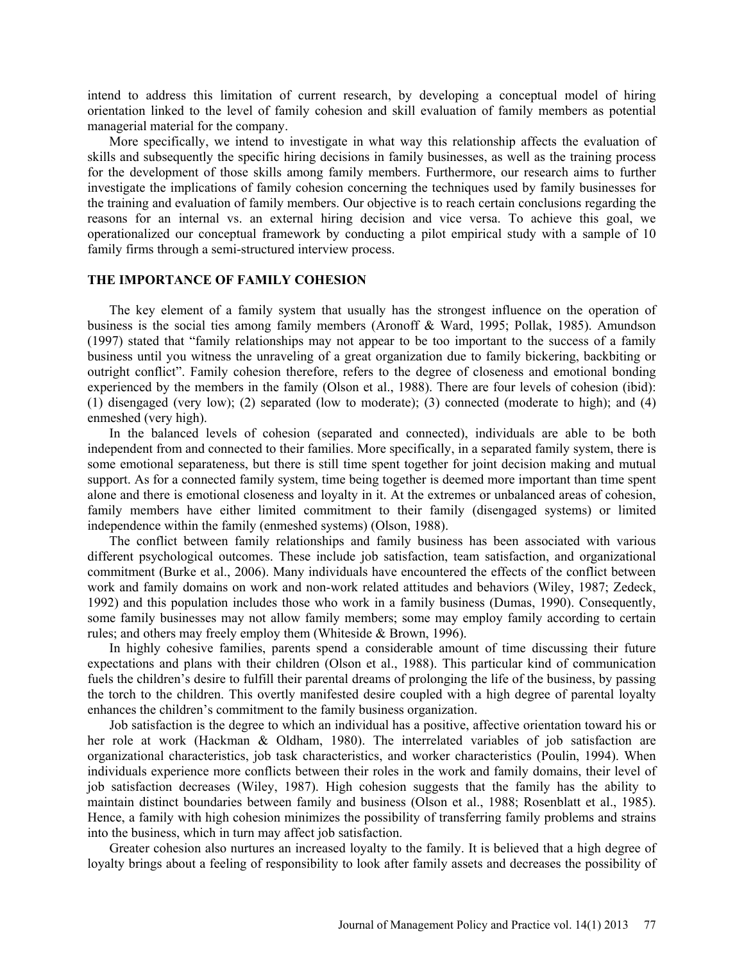intend to address this limitation of current research, by developing a conceptual model of hiring orientation linked to the level of family cohesion and skill evaluation of family members as potential managerial material for the company.

More specifically, we intend to investigate in what way this relationship affects the evaluation of skills and subsequently the specific hiring decisions in family businesses, as well as the training process for the development of those skills among family members. Furthermore, our research aims to further investigate the implications of family cohesion concerning the techniques used by family businesses for the training and evaluation of family members. Our objective is to reach certain conclusions regarding the reasons for an internal vs. an external hiring decision and vice versa. To achieve this goal, we operationalized our conceptual framework by conducting a pilot empirical study with a sample of 10 family firms through a semi-structured interview process.

## **THE IMPORTANCE OF FAMILY COHESION**

The key element of a family system that usually has the strongest influence on the operation of business is the social ties among family members (Aronoff & Ward, 1995; Pollak, 1985). Amundson (1997) stated that "family relationships may not appear to be too important to the success of a family business until you witness the unraveling of a great organization due to family bickering, backbiting or outright conflict". Family cohesion therefore, refers to the degree of closeness and emotional bonding experienced by the members in the family (Olson et al., 1988). There are four levels of cohesion (ibid): (1) disengaged (very low); (2) separated (low to moderate); (3) connected (moderate to high); and (4) enmeshed (very high).

In the balanced levels of cohesion (separated and connected), individuals are able to be both independent from and connected to their families. More specifically, in a separated family system, there is some emotional separateness, but there is still time spent together for joint decision making and mutual support. As for a connected family system, time being together is deemed more important than time spent alone and there is emotional closeness and loyalty in it. At the extremes or unbalanced areas of cohesion, family members have either limited commitment to their family (disengaged systems) or limited independence within the family (enmeshed systems) (Olson, 1988).

The conflict between family relationships and family business has been associated with various different psychological outcomes. These include job satisfaction, team satisfaction, and organizational commitment (Burke et al., 2006). Many individuals have encountered the effects of the conflict between work and family domains on work and non-work related attitudes and behaviors (Wiley, 1987; Zedeck, 1992) and this population includes those who work in a family business (Dumas, 1990). Consequently, some family businesses may not allow family members; some may employ family according to certain rules; and others may freely employ them (Whiteside & Brown, 1996).

In highly cohesive families, parents spend a considerable amount of time discussing their future expectations and plans with their children (Olson et al., 1988). This particular kind of communication fuels the children's desire to fulfill their parental dreams of prolonging the life of the business, by passing the torch to the children. This overtly manifested desire coupled with a high degree of parental loyalty enhances the children's commitment to the family business organization.

Job satisfaction is the degree to which an individual has a positive, affective orientation toward his or her role at work (Hackman & Oldham, 1980). The interrelated variables of job satisfaction are organizational characteristics, job task characteristics, and worker characteristics (Poulin, 1994). When individuals experience more conflicts between their roles in the work and family domains, their level of job satisfaction decreases (Wiley, 1987). High cohesion suggests that the family has the ability to maintain distinct boundaries between family and business (Olson et al., 1988; Rosenblatt et al., 1985). Hence, a family with high cohesion minimizes the possibility of transferring family problems and strains into the business, which in turn may affect job satisfaction.

Greater cohesion also nurtures an increased loyalty to the family. It is believed that a high degree of loyalty brings about a feeling of responsibility to look after family assets and decreases the possibility of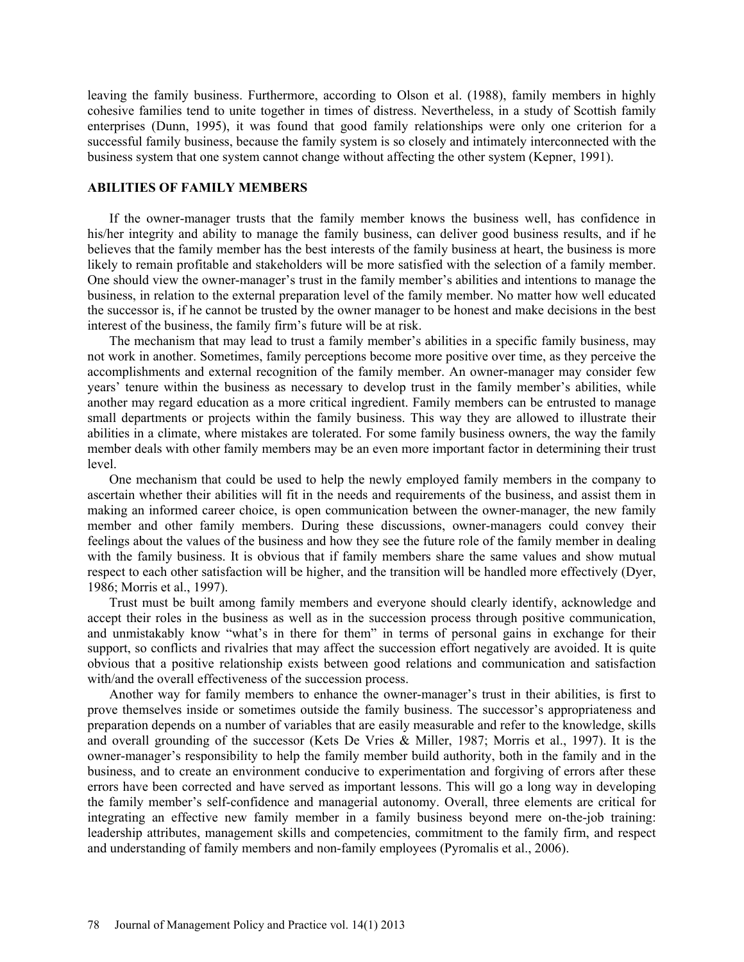leaving the family business. Furthermore, according to Olson et al. (1988), family members in highly cohesive families tend to unite together in times of distress. Nevertheless, in a study of Scottish family enterprises (Dunn, 1995), it was found that good family relationships were only one criterion for a successful family business, because the family system is so closely and intimately interconnected with the business system that one system cannot change without affecting the other system (Kepner, 1991).

## **ABILITIES OF FAMILY MEMBERS**

If the owner-manager trusts that the family member knows the business well, has confidence in his/her integrity and ability to manage the family business, can deliver good business results, and if he believes that the family member has the best interests of the family business at heart, the business is more likely to remain profitable and stakeholders will be more satisfied with the selection of a family member. One should view the owner-manager's trust in the family member's abilities and intentions to manage the business, in relation to the external preparation level of the family member. No matter how well educated the successor is, if he cannot be trusted by the owner manager to be honest and make decisions in the best interest of the business, the family firm's future will be at risk.

The mechanism that may lead to trust a family member's abilities in a specific family business, may not work in another. Sometimes, family perceptions become more positive over time, as they perceive the accomplishments and external recognition of the family member. An owner-manager may consider few years' tenure within the business as necessary to develop trust in the family member's abilities, while another may regard education as a more critical ingredient. Family members can be entrusted to manage small departments or projects within the family business. This way they are allowed to illustrate their abilities in a climate, where mistakes are tolerated. For some family business owners, the way the family member deals with other family members may be an even more important factor in determining their trust level.

One mechanism that could be used to help the newly employed family members in the company to ascertain whether their abilities will fit in the needs and requirements of the business, and assist them in making an informed career choice, is open communication between the owner-manager, the new family member and other family members. During these discussions, owner-managers could convey their feelings about the values of the business and how they see the future role of the family member in dealing with the family business. It is obvious that if family members share the same values and show mutual respect to each other satisfaction will be higher, and the transition will be handled more effectively (Dyer, 1986; Morris et al., 1997).

Trust must be built among family members and everyone should clearly identify, acknowledge and accept their roles in the business as well as in the succession process through positive communication, and unmistakably know "what's in there for them" in terms of personal gains in exchange for their support, so conflicts and rivalries that may affect the succession effort negatively are avoided. It is quite obvious that a positive relationship exists between good relations and communication and satisfaction with/and the overall effectiveness of the succession process.

Another way for family members to enhance the owner-manager's trust in their abilities, is first to prove themselves inside or sometimes outside the family business. The successor's appropriateness and preparation depends on a number of variables that are easily measurable and refer to the knowledge, skills and overall grounding of the successor (Kets De Vries & Miller, 1987; Morris et al., 1997). It is the owner-manager's responsibility to help the family member build authority, both in the family and in the business, and to create an environment conducive to experimentation and forgiving of errors after these errors have been corrected and have served as important lessons. This will go a long way in developing the family member's self-confidence and managerial autonomy. Overall, three elements are critical for integrating an effective new family member in a family business beyond mere on-the-job training: leadership attributes, management skills and competencies, commitment to the family firm, and respect and understanding of family members and non-family employees (Pyromalis et al., 2006).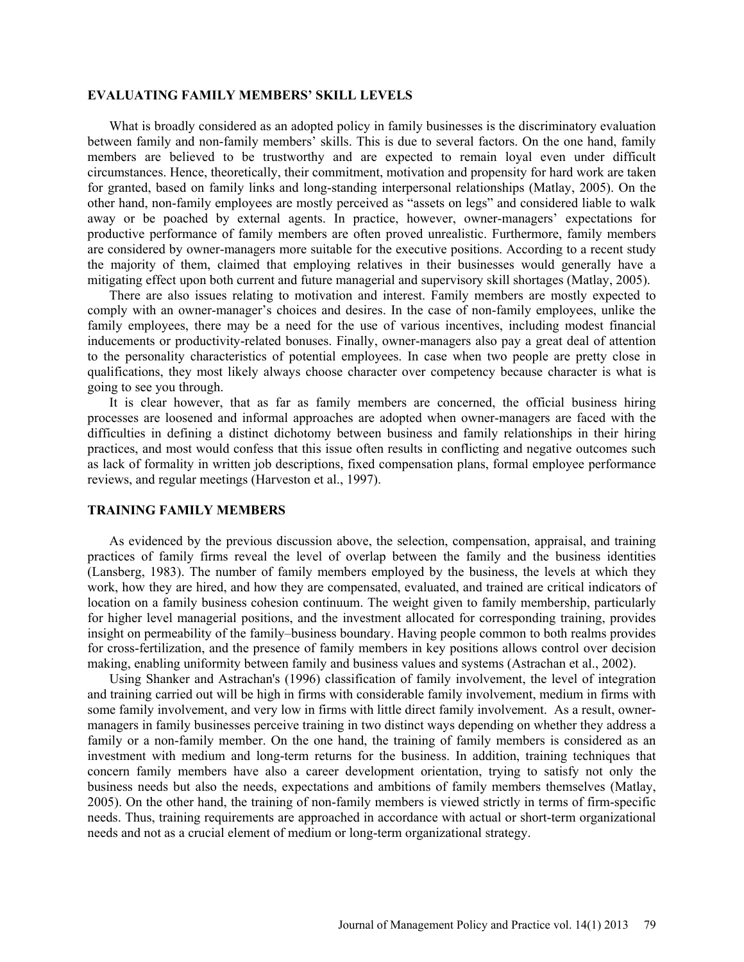#### **EVALUATING FAMILY MEMBERS' SKILL LEVELS**

What is broadly considered as an adopted policy in family businesses is the discriminatory evaluation between family and non-family members' skills. This is due to several factors. On the one hand, family members are believed to be trustworthy and are expected to remain loyal even under difficult circumstances. Hence, theoretically, their commitment, motivation and propensity for hard work are taken for granted, based on family links and long-standing interpersonal relationships (Matlay, 2005). On the other hand, non-family employees are mostly perceived as "assets on legs" and considered liable to walk away or be poached by external agents. In practice, however, owner-managers' expectations for productive performance of family members are often proved unrealistic. Furthermore, family members are considered by owner-managers more suitable for the executive positions. According to a recent study the majority of them, claimed that employing relatives in their businesses would generally have a mitigating effect upon both current and future managerial and supervisory skill shortages (Matlay, 2005).

There are also issues relating to motivation and interest. Family members are mostly expected to comply with an owner-manager's choices and desires. In the case of non-family employees, unlike the family employees, there may be a need for the use of various incentives, including modest financial inducements or productivity-related bonuses. Finally, owner-managers also pay a great deal of attention to the personality characteristics of potential employees. In case when two people are pretty close in qualifications, they most likely always choose character over competency because character is what is going to see you through.

It is clear however, that as far as family members are concerned, the official business hiring processes are loosened and informal approaches are adopted when owner-managers are faced with the difficulties in defining a distinct dichotomy between business and family relationships in their hiring practices, and most would confess that this issue often results in conflicting and negative outcomes such as lack of formality in written job descriptions, fixed compensation plans, formal employee performance reviews, and regular meetings (Harveston et al., 1997).

#### **TRAINING FAMILY MEMBERS**

As evidenced by the previous discussion above, the selection, compensation, appraisal, and training practices of family firms reveal the level of overlap between the family and the business identities (Lansberg, 1983). The number of family members employed by the business, the levels at which they work, how they are hired, and how they are compensated, evaluated, and trained are critical indicators of location on a family business cohesion continuum. The weight given to family membership, particularly for higher level managerial positions, and the investment allocated for corresponding training, provides insight on permeability of the family–business boundary. Having people common to both realms provides for cross-fertilization, and the presence of family members in key positions allows control over decision making, enabling uniformity between family and business values and systems (Astrachan et al., 2002).

Using Shanker and Astrachan's (1996) classification of family involvement, the level of integration and training carried out will be high in firms with considerable family involvement, medium in firms with some family involvement, and very low in firms with little direct family involvement. As a result, ownermanagers in family businesses perceive training in two distinct ways depending on whether they address a family or a non-family member. On the one hand, the training of family members is considered as an investment with medium and long-term returns for the business. In addition, training techniques that concern family members have also a career development orientation, trying to satisfy not only the business needs but also the needs, expectations and ambitions of family members themselves (Matlay, 2005). On the other hand, the training of non-family members is viewed strictly in terms of firm-specific needs. Thus, training requirements are approached in accordance with actual or short-term organizational needs and not as a crucial element of medium or long-term organizational strategy.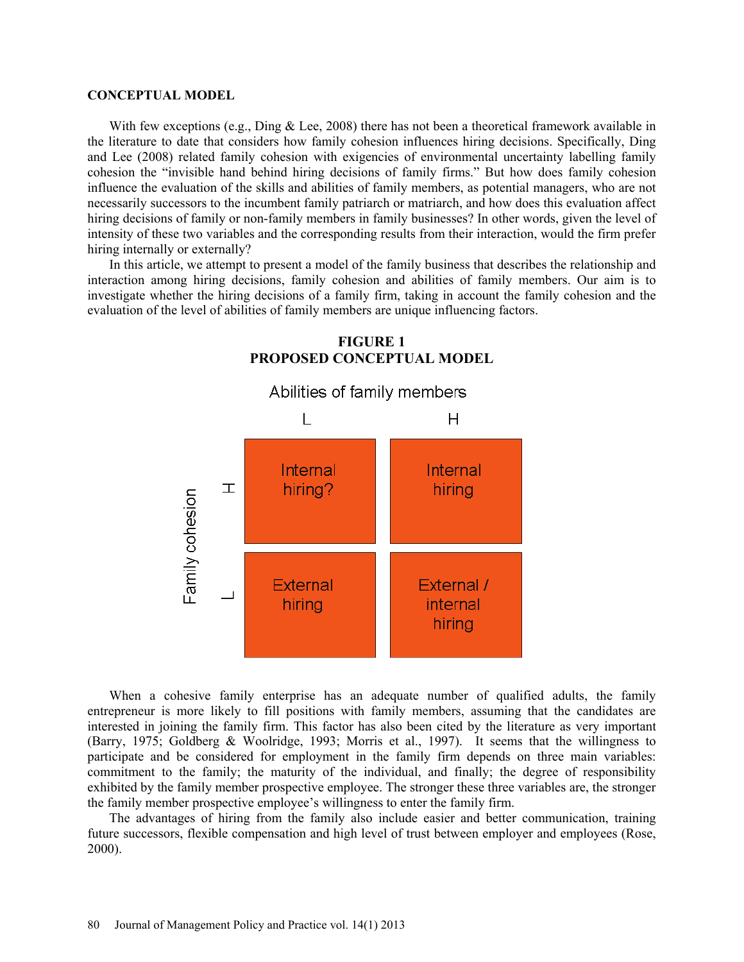#### **CONCEPTUAL MODEL**

With few exceptions (e.g., Ding & Lee, 2008) there has not been a theoretical framework available in the literature to date that considers how family cohesion influences hiring decisions. Specifically, Ding and Lee (2008) related family cohesion with exigencies of environmental uncertainty labelling family cohesion the "invisible hand behind hiring decisions of family firms." But how does family cohesion influence the evaluation of the skills and abilities of family members, as potential managers, who are not necessarily successors to the incumbent family patriarch or matriarch, and how does this evaluation affect hiring decisions of family or non-family members in family businesses? In other words, given the level of intensity of these two variables and the corresponding results from their interaction, would the firm prefer hiring internally or externally?

In this article, we attempt to present a model of the family business that describes the relationship and interaction among hiring decisions, family cohesion and abilities of family members. Our aim is to investigate whether the hiring decisions of a family firm, taking in account the family cohesion and the evaluation of the level of abilities of family members are unique influencing factors.



# **FIGURE 1 PROPOSED CONCEPTUAL MODEL**

When a cohesive family enterprise has an adequate number of qualified adults, the family entrepreneur is more likely to fill positions with family members, assuming that the candidates are interested in joining the family firm. This factor has also been cited by the literature as very important (Barry, 1975; Goldberg & Woolridge, 1993; Morris et al., 1997). It seems that the willingness to participate and be considered for employment in the family firm depends on three main variables: commitment to the family; the maturity of the individual, and finally; the degree of responsibility exhibited by the family member prospective employee. The stronger these three variables are, the stronger the family member prospective employee's willingness to enter the family firm.

The advantages of hiring from the family also include easier and better communication, training future successors, flexible compensation and high level of trust between employer and employees (Rose, 2000).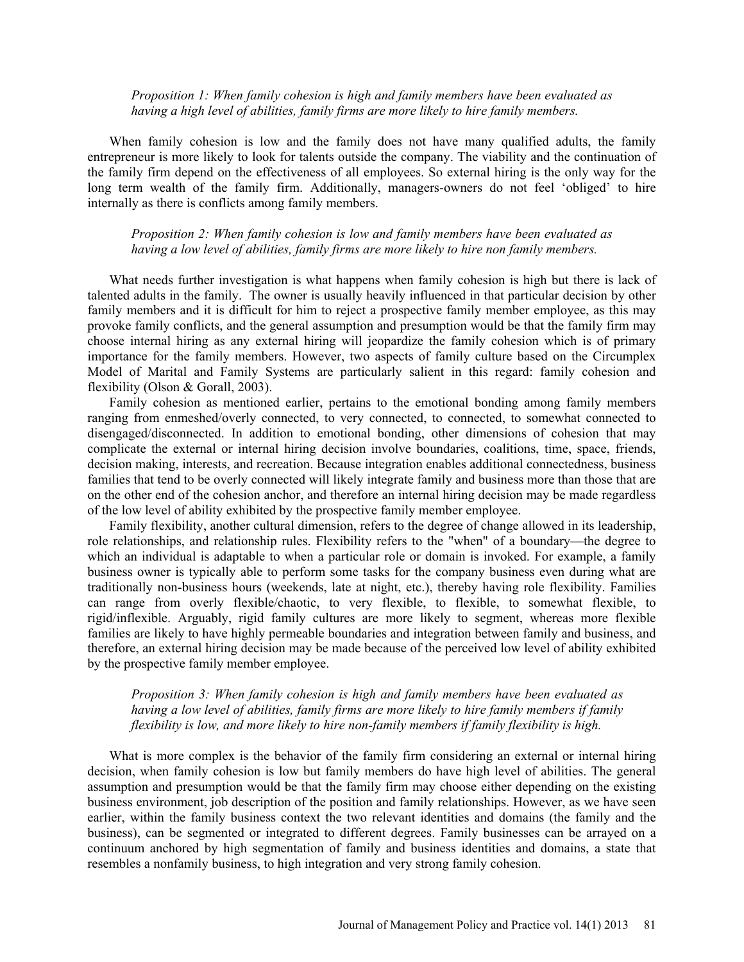*Proposition 1: When family cohesion is high and family members have been evaluated as having a high level of abilities, family firms are more likely to hire family members.* 

When family cohesion is low and the family does not have many qualified adults, the family entrepreneur is more likely to look for talents outside the company. The viability and the continuation of the family firm depend on the effectiveness of all employees. So external hiring is the only way for the long term wealth of the family firm. Additionally, managers-owners do not feel 'obliged' to hire internally as there is conflicts among family members.

*Proposition 2: When family cohesion is low and family members have been evaluated as having a low level of abilities, family firms are more likely to hire non family members.* 

What needs further investigation is what happens when family cohesion is high but there is lack of talented adults in the family. The owner is usually heavily influenced in that particular decision by other family members and it is difficult for him to reject a prospective family member employee, as this may provoke family conflicts, and the general assumption and presumption would be that the family firm may choose internal hiring as any external hiring will jeopardize the family cohesion which is of primary importance for the family members. However, two aspects of family culture based on the Circumplex Model of Marital and Family Systems are particularly salient in this regard: family cohesion and flexibility (Olson & Gorall, 2003).

Family cohesion as mentioned earlier, pertains to the emotional bonding among family members ranging from enmeshed/overly connected, to very connected, to connected, to somewhat connected to disengaged/disconnected. In addition to emotional bonding, other dimensions of cohesion that may complicate the external or internal hiring decision involve boundaries, coalitions, time, space, friends, decision making, interests, and recreation. Because integration enables additional connectedness, business families that tend to be overly connected will likely integrate family and business more than those that are on the other end of the cohesion anchor, and therefore an internal hiring decision may be made regardless of the low level of ability exhibited by the prospective family member employee.

Family flexibility, another cultural dimension, refers to the degree of change allowed in its leadership, role relationships, and relationship rules. Flexibility refers to the "when" of a boundary—the degree to which an individual is adaptable to when a particular role or domain is invoked. For example, a family business owner is typically able to perform some tasks for the company business even during what are traditionally non-business hours (weekends, late at night, etc.), thereby having role flexibility. Families can range from overly flexible/chaotic, to very flexible, to flexible, to somewhat flexible, to rigid/inflexible. Arguably, rigid family cultures are more likely to segment, whereas more flexible families are likely to have highly permeable boundaries and integration between family and business, and therefore, an external hiring decision may be made because of the perceived low level of ability exhibited by the prospective family member employee.

# *Proposition 3: When family cohesion is high and family members have been evaluated as having a low level of abilities, family firms are more likely to hire family members if family flexibility is low, and more likely to hire non-family members if family flexibility is high.*

What is more complex is the behavior of the family firm considering an external or internal hiring decision, when family cohesion is low but family members do have high level of abilities. The general assumption and presumption would be that the family firm may choose either depending on the existing business environment, job description of the position and family relationships. However, as we have seen earlier, within the family business context the two relevant identities and domains (the family and the business), can be segmented or integrated to different degrees. Family businesses can be arrayed on a continuum anchored by high segmentation of family and business identities and domains, a state that resembles a nonfamily business, to high integration and very strong family cohesion.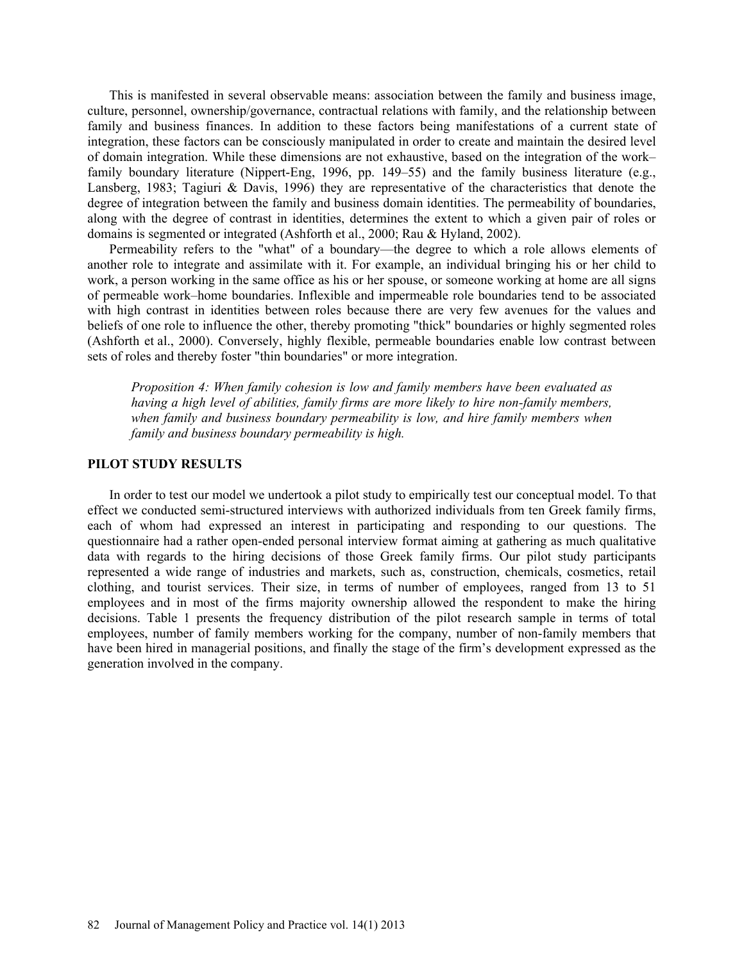This is manifested in several observable means: association between the family and business image, culture, personnel, ownership/governance, contractual relations with family, and the relationship between family and business finances. In addition to these factors being manifestations of a current state of integration, these factors can be consciously manipulated in order to create and maintain the desired level of domain integration. While these dimensions are not exhaustive, based on the integration of the work– family boundary literature (Nippert-Eng, 1996, pp. 149–55) and the family business literature (e.g., Lansberg, 1983; Tagiuri & Davis, 1996) they are representative of the characteristics that denote the degree of integration between the family and business domain identities. The permeability of boundaries, along with the degree of contrast in identities, determines the extent to which a given pair of roles or domains is segmented or integrated (Ashforth et al., 2000; Rau & Hyland, 2002).

Permeability refers to the "what" of a boundary—the degree to which a role allows elements of another role to integrate and assimilate with it. For example, an individual bringing his or her child to work, a person working in the same office as his or her spouse, or someone working at home are all signs of permeable work–home boundaries. Inflexible and impermeable role boundaries tend to be associated with high contrast in identities between roles because there are very few avenues for the values and beliefs of one role to influence the other, thereby promoting "thick" boundaries or highly segmented roles (Ashforth et al., 2000). Conversely, highly flexible, permeable boundaries enable low contrast between sets of roles and thereby foster "thin boundaries" or more integration.

*Proposition 4: When family cohesion is low and family members have been evaluated as having a high level of abilities, family firms are more likely to hire non-family members, when family and business boundary permeability is low, and hire family members when family and business boundary permeability is high.* 

# **PILOT STUDY RESULTS**

In order to test our model we undertook a pilot study to empirically test our conceptual model. To that effect we conducted semi-structured interviews with authorized individuals from ten Greek family firms, each of whom had expressed an interest in participating and responding to our questions. The questionnaire had a rather open-ended personal interview format aiming at gathering as much qualitative data with regards to the hiring decisions of those Greek family firms. Our pilot study participants represented a wide range of industries and markets, such as, construction, chemicals, cosmetics, retail clothing, and tourist services. Their size, in terms of number of employees, ranged from 13 to 51 employees and in most of the firms majority ownership allowed the respondent to make the hiring decisions. Table 1 presents the frequency distribution of the pilot research sample in terms of total employees, number of family members working for the company, number of non-family members that have been hired in managerial positions, and finally the stage of the firm's development expressed as the generation involved in the company.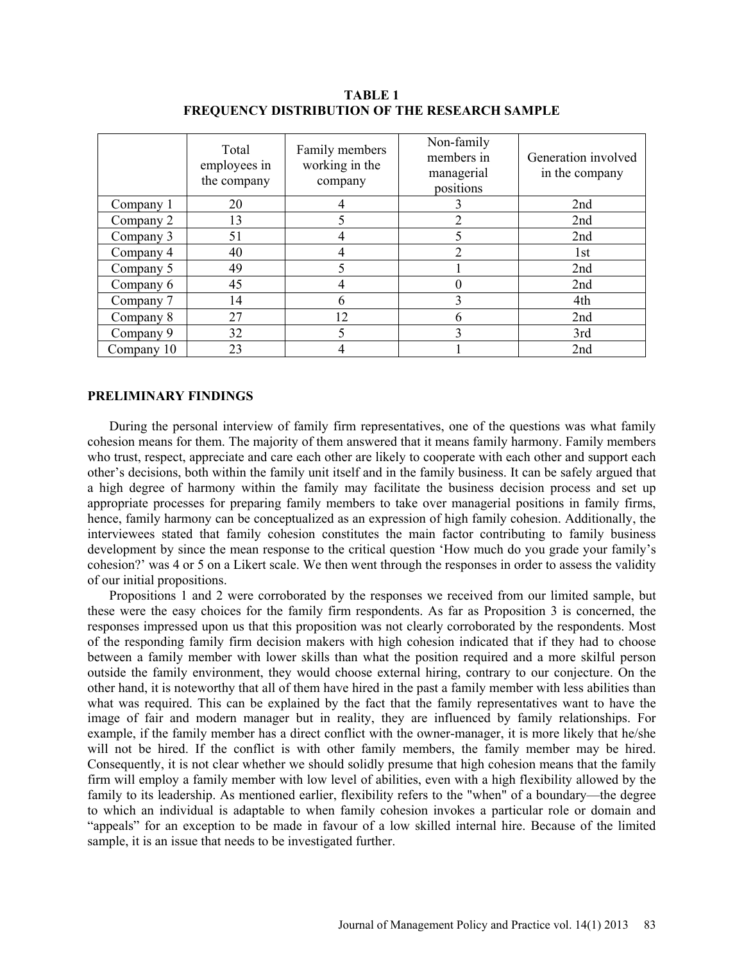|            | Total<br>employees in<br>the company | Family members<br>working in the<br>company | Non-family<br>members in<br>managerial<br>positions | Generation involved<br>in the company |
|------------|--------------------------------------|---------------------------------------------|-----------------------------------------------------|---------------------------------------|
| Company 1  | 20                                   |                                             |                                                     | 2nd                                   |
| Company 2  | 13                                   |                                             |                                                     | 2nd                                   |
| Company 3  | 51                                   |                                             |                                                     | 2nd                                   |
| Company 4  | 40                                   |                                             | 2                                                   | 1st                                   |
| Company 5  | 49                                   |                                             |                                                     | 2nd                                   |
| Company 6  | 45                                   |                                             |                                                     | 2nd                                   |
| Company 7  | 14                                   | h                                           |                                                     | 4th                                   |
| Company 8  | 27                                   | 12                                          | 6                                                   | 2nd                                   |
| Company 9  | 32                                   |                                             | ∍                                                   | 3rd                                   |
| Company 10 | 23                                   |                                             |                                                     | 2nd                                   |

**TABLE 1 FREQUENCY DISTRIBUTION OF THE RESEARCH SAMPLE** 

#### **PRELIMINARY FINDINGS**

During the personal interview of family firm representatives, one of the questions was what family cohesion means for them. The majority of them answered that it means family harmony. Family members who trust, respect, appreciate and care each other are likely to cooperate with each other and support each other's decisions, both within the family unit itself and in the family business. It can be safely argued that a high degree of harmony within the family may facilitate the business decision process and set up appropriate processes for preparing family members to take over managerial positions in family firms, hence, family harmony can be conceptualized as an expression of high family cohesion. Additionally, the interviewees stated that family cohesion constitutes the main factor contributing to family business development by since the mean response to the critical question 'How much do you grade your family's cohesion?' was 4 or 5 on a Likert scale. We then went through the responses in order to assess the validity of our initial propositions.

Propositions 1 and 2 were corroborated by the responses we received from our limited sample, but these were the easy choices for the family firm respondents. As far as Proposition 3 is concerned, the responses impressed upon us that this proposition was not clearly corroborated by the respondents. Most of the responding family firm decision makers with high cohesion indicated that if they had to choose between a family member with lower skills than what the position required and a more skilful person outside the family environment, they would choose external hiring, contrary to our conjecture. On the other hand, it is noteworthy that all of them have hired in the past a family member with less abilities than what was required. This can be explained by the fact that the family representatives want to have the image of fair and modern manager but in reality, they are influenced by family relationships. For example, if the family member has a direct conflict with the owner-manager, it is more likely that he/she will not be hired. If the conflict is with other family members, the family member may be hired. Consequently, it is not clear whether we should solidly presume that high cohesion means that the family firm will employ a family member with low level of abilities, even with a high flexibility allowed by the family to its leadership. As mentioned earlier, flexibility refers to the "when" of a boundary—the degree to which an individual is adaptable to when family cohesion invokes a particular role or domain and "appeals" for an exception to be made in favour of a low skilled internal hire. Because of the limited sample, it is an issue that needs to be investigated further.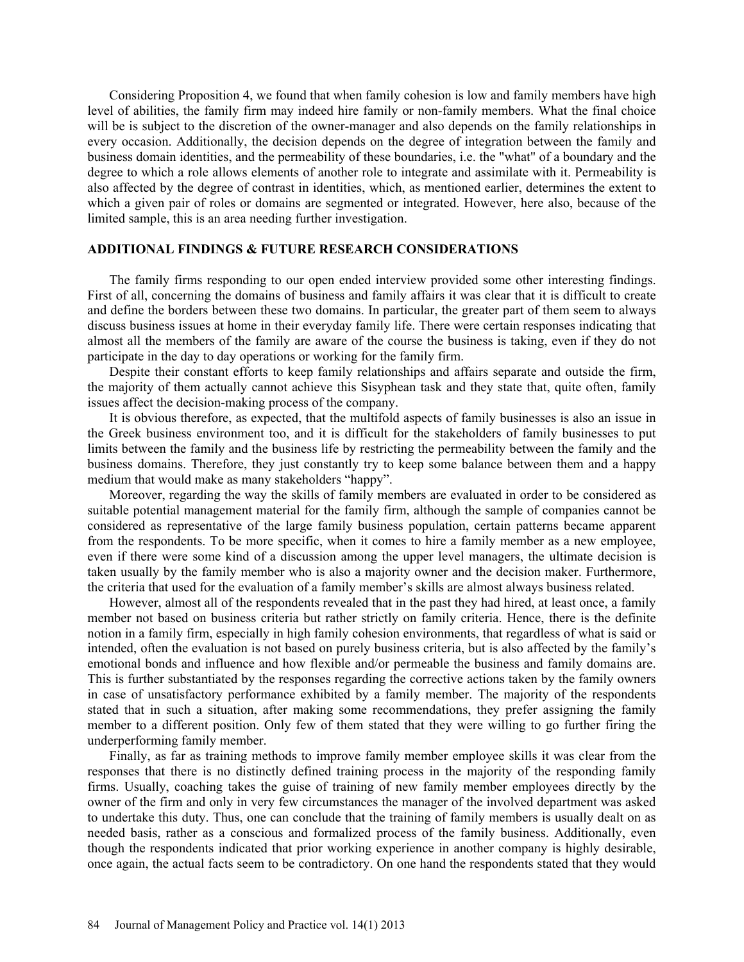Considering Proposition 4, we found that when family cohesion is low and family members have high level of abilities, the family firm may indeed hire family or non-family members. What the final choice will be is subject to the discretion of the owner-manager and also depends on the family relationships in every occasion. Additionally, the decision depends on the degree of integration between the family and business domain identities, and the permeability of these boundaries, i.e. the "what" of a boundary and the degree to which a role allows elements of another role to integrate and assimilate with it. Permeability is also affected by the degree of contrast in identities, which, as mentioned earlier, determines the extent to which a given pair of roles or domains are segmented or integrated. However, here also, because of the limited sample, this is an area needing further investigation.

## **ADDITIONAL FINDINGS & FUTURE RESEARCH CONSIDERATIONS**

The family firms responding to our open ended interview provided some other interesting findings. First of all, concerning the domains of business and family affairs it was clear that it is difficult to create and define the borders between these two domains. In particular, the greater part of them seem to always discuss business issues at home in their everyday family life. There were certain responses indicating that almost all the members of the family are aware of the course the business is taking, even if they do not participate in the day to day operations or working for the family firm.

Despite their constant efforts to keep family relationships and affairs separate and outside the firm, the majority of them actually cannot achieve this Sisyphean task and they state that, quite often, family issues affect the decision-making process of the company.

It is obvious therefore, as expected, that the multifold aspects of family businesses is also an issue in the Greek business environment too, and it is difficult for the stakeholders of family businesses to put limits between the family and the business life by restricting the permeability between the family and the business domains. Therefore, they just constantly try to keep some balance between them and a happy medium that would make as many stakeholders "happy".

Moreover, regarding the way the skills of family members are evaluated in order to be considered as suitable potential management material for the family firm, although the sample of companies cannot be considered as representative of the large family business population, certain patterns became apparent from the respondents. To be more specific, when it comes to hire a family member as a new employee, even if there were some kind of a discussion among the upper level managers, the ultimate decision is taken usually by the family member who is also a majority owner and the decision maker. Furthermore, the criteria that used for the evaluation of a family member's skills are almost always business related.

However, almost all of the respondents revealed that in the past they had hired, at least once, a family member not based on business criteria but rather strictly on family criteria. Hence, there is the definite notion in a family firm, especially in high family cohesion environments, that regardless of what is said or intended, often the evaluation is not based on purely business criteria, but is also affected by the family's emotional bonds and influence and how flexible and/or permeable the business and family domains are. This is further substantiated by the responses regarding the corrective actions taken by the family owners in case of unsatisfactory performance exhibited by a family member. The majority of the respondents stated that in such a situation, after making some recommendations, they prefer assigning the family member to a different position. Only few of them stated that they were willing to go further firing the underperforming family member.

Finally, as far as training methods to improve family member employee skills it was clear from the responses that there is no distinctly defined training process in the majority of the responding family firms. Usually, coaching takes the guise of training of new family member employees directly by the owner of the firm and only in very few circumstances the manager of the involved department was asked to undertake this duty. Thus, one can conclude that the training of family members is usually dealt on as needed basis, rather as a conscious and formalized process of the family business. Additionally, even though the respondents indicated that prior working experience in another company is highly desirable, once again, the actual facts seem to be contradictory. On one hand the respondents stated that they would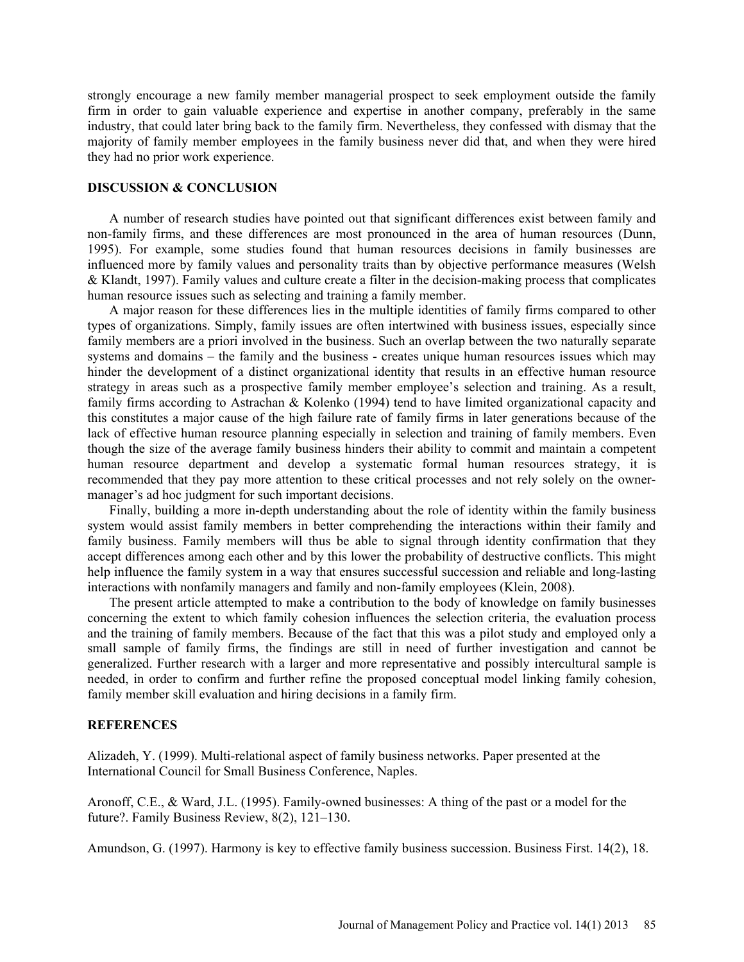strongly encourage a new family member managerial prospect to seek employment outside the family firm in order to gain valuable experience and expertise in another company, preferably in the same industry, that could later bring back to the family firm. Nevertheless, they confessed with dismay that the majority of family member employees in the family business never did that, and when they were hired they had no prior work experience.

## **DISCUSSION & CONCLUSION**

A number of research studies have pointed out that significant differences exist between family and non-family firms, and these differences are most pronounced in the area of human resources (Dunn, 1995). For example, some studies found that human resources decisions in family businesses are influenced more by family values and personality traits than by objective performance measures (Welsh & Klandt, 1997). Family values and culture create a filter in the decision-making process that complicates human resource issues such as selecting and training a family member.

A major reason for these differences lies in the multiple identities of family firms compared to other types of organizations. Simply, family issues are often intertwined with business issues, especially since family members are a priori involved in the business. Such an overlap between the two naturally separate systems and domains – the family and the business - creates unique human resources issues which may hinder the development of a distinct organizational identity that results in an effective human resource strategy in areas such as a prospective family member employee's selection and training. As a result, family firms according to Astrachan & Kolenko (1994) tend to have limited organizational capacity and this constitutes a major cause of the high failure rate of family firms in later generations because of the lack of effective human resource planning especially in selection and training of family members. Even though the size of the average family business hinders their ability to commit and maintain a competent human resource department and develop a systematic formal human resources strategy, it is recommended that they pay more attention to these critical processes and not rely solely on the ownermanager's ad hoc judgment for such important decisions.

Finally, building a more in-depth understanding about the role of identity within the family business system would assist family members in better comprehending the interactions within their family and family business. Family members will thus be able to signal through identity confirmation that they accept differences among each other and by this lower the probability of destructive conflicts. This might help influence the family system in a way that ensures successful succession and reliable and long-lasting interactions with nonfamily managers and family and non-family employees (Klein, 2008).

The present article attempted to make a contribution to the body of knowledge on family businesses concerning the extent to which family cohesion influences the selection criteria, the evaluation process and the training of family members. Because of the fact that this was a pilot study and employed only a small sample of family firms, the findings are still in need of further investigation and cannot be generalized. Further research with a larger and more representative and possibly intercultural sample is needed, in order to confirm and further refine the proposed conceptual model linking family cohesion, family member skill evaluation and hiring decisions in a family firm.

### **REFERENCES**

Alizadeh, Y. (1999). Multi-relational aspect of family business networks. Paper presented at the International Council for Small Business Conference, Naples.

Aronoff, C.E., & Ward, J.L. (1995). Family-owned businesses: A thing of the past or a model for the future?. Family Business Review, 8(2), 121–130.

Amundson, G. (1997). Harmony is key to effective family business succession. Business First. 14(2), 18.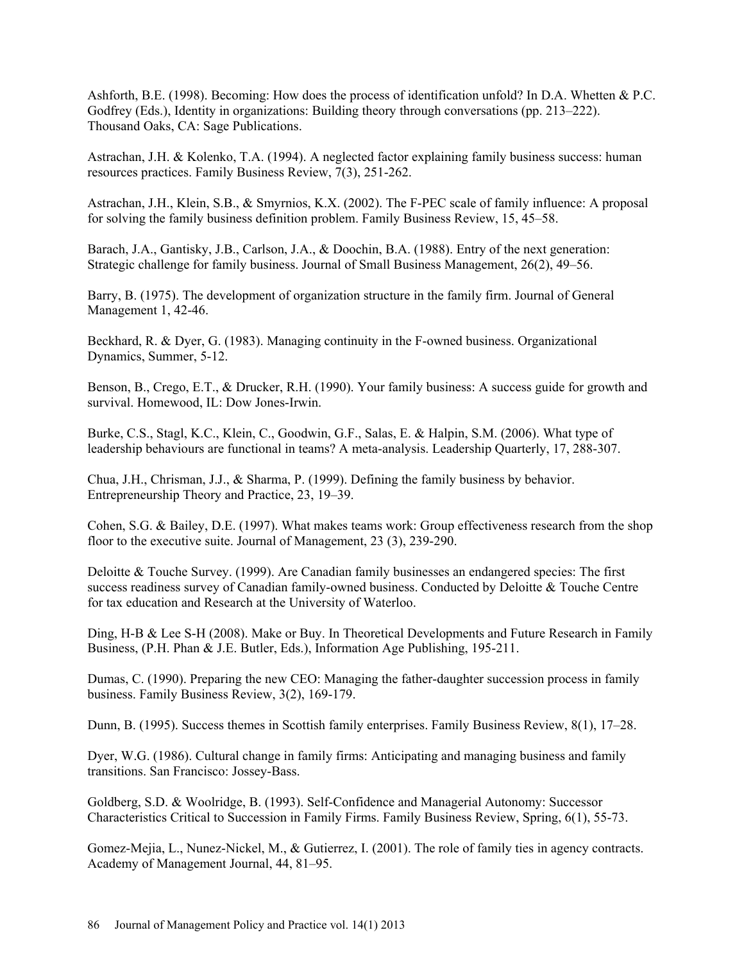Ashforth, B.E. (1998). Becoming: How does the process of identification unfold? In D.A. Whetten & P.C. Godfrey (Eds.), Identity in organizations: Building theory through conversations (pp. 213–222). Thousand Oaks, CA: Sage Publications.

Astrachan, J.H. & Kolenko, T.A. (1994). A neglected factor explaining family business success: human resources practices. Family Business Review, 7(3), 251-262.

Astrachan, J.H., Klein, S.B., & Smyrnios, K.X. (2002). The F-PEC scale of family influence: A proposal for solving the family business definition problem. Family Business Review, 15, 45–58.

Barach, J.A., Gantisky, J.B., Carlson, J.A., & Doochin, B.A. (1988). Entry of the next generation: Strategic challenge for family business. Journal of Small Business Management, 26(2), 49–56.

Barry, B. (1975). The development of organization structure in the family firm. Journal of General Management 1, 42-46.

Beckhard, R. & Dyer, G. (1983). Managing continuity in the F-owned business. Organizational Dynamics, Summer, 5-12.

Benson, B., Crego, E.T., & Drucker, R.H. (1990). Your family business: A success guide for growth and survival. Homewood, IL: Dow Jones-Irwin.

Burke, C.S., Stagl, K.C., Klein, C., Goodwin, G.F., Salas, E. & Halpin, S.M. (2006). What type of leadership behaviours are functional in teams? A meta-analysis. Leadership Quarterly, 17, 288-307.

Chua, J.H., Chrisman, J.J., & Sharma, P. (1999). Defining the family business by behavior. Entrepreneurship Theory and Practice, 23, 19–39.

Cohen, S.G. & Bailey, D.E. (1997). What makes teams work: Group effectiveness research from the shop floor to the executive suite. Journal of Management, 23 (3), 239-290.

Deloitte & Touche Survey. (1999). Are Canadian family businesses an endangered species: The first success readiness survey of Canadian family-owned business. Conducted by Deloitte & Touche Centre for tax education and Research at the University of Waterloo.

Ding, H-B & Lee S-H (2008). Make or Buy. In Theoretical Developments and Future Research in Family Business, (P.H. Phan & J.E. Butler, Eds.), Information Age Publishing, 195-211.

Dumas, C. (1990). Preparing the new CEO: Managing the father-daughter succession process in family business. Family Business Review, 3(2), 169-179.

Dunn, B. (1995). Success themes in Scottish family enterprises. Family Business Review, 8(1), 17–28.

Dyer, W.G. (1986). Cultural change in family firms: Anticipating and managing business and family transitions. San Francisco: Jossey-Bass.

Goldberg, S.D. & Woolridge, B. (1993). Self-Confidence and Managerial Autonomy: Successor Characteristics Critical to Succession in Family Firms. Family Business Review, Spring, 6(1), 55-73.

Gomez-Mejia, L., Nunez-Nickel, M., & Gutierrez, I. (2001). The role of family ties in agency contracts. Academy of Management Journal, 44, 81–95.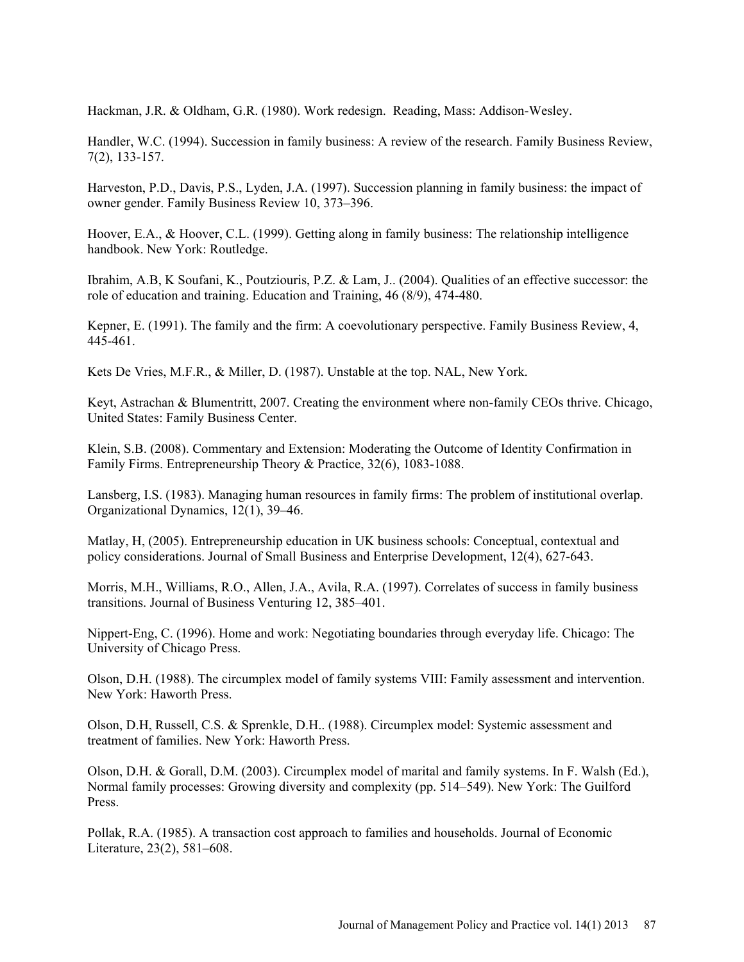Hackman, J.R. & Oldham, G.R. (1980). Work redesign. Reading, Mass: Addison-Wesley.

Handler, W.C. (1994). Succession in family business: A review of the research. Family Business Review, 7(2), 133-157.

Harveston, P.D., Davis, P.S., Lyden, J.A. (1997). Succession planning in family business: the impact of owner gender. Family Business Review 10, 373–396.

Hoover, E.A., & Hoover, C.L. (1999). Getting along in family business: The relationship intelligence handbook. New York: Routledge.

Ibrahim, A.B, K Soufani, K., Poutziouris, P.Z. & Lam, J.. (2004). Qualities of an effective successor: the role of education and training. Education and Training, 46 (8/9), 474-480.

Kepner, E. (1991). The family and the firm: A coevolutionary perspective. Family Business Review, 4, 445-461.

Kets De Vries, M.F.R., & Miller, D. (1987). Unstable at the top. NAL, New York.

Keyt, Astrachan & Blumentritt, 2007. Creating the environment where non-family CEOs thrive. Chicago, United States: Family Business Center.

Klein, S.B. (2008). Commentary and Extension: Moderating the Outcome of Identity Confirmation in Family Firms. Entrepreneurship Theory & Practice, 32(6), 1083-1088.

Lansberg, I.S. (1983). Managing human resources in family firms: The problem of institutional overlap. Organizational Dynamics, 12(1), 39–46.

Matlay, H, (2005). Entrepreneurship education in UK business schools: Conceptual, contextual and policy considerations. Journal of Small Business and Enterprise Development, 12(4), 627-643.

Morris, M.H., Williams, R.O., Allen, J.A., Avila, R.A. (1997). Correlates of success in family business transitions. Journal of Business Venturing 12, 385–401.

Nippert-Eng, C. (1996). Home and work: Negotiating boundaries through everyday life. Chicago: The University of Chicago Press.

Olson, D.H. (1988). The circumplex model of family systems VIII: Family assessment and intervention. New York: Haworth Press.

Olson, D.H, Russell, C.S. & Sprenkle, D.H.. (1988). Circumplex model: Systemic assessment and treatment of families. New York: Haworth Press.

Olson, D.H. & Gorall, D.M. (2003). Circumplex model of marital and family systems. In F. Walsh (Ed.), Normal family processes: Growing diversity and complexity (pp. 514–549). New York: The Guilford Press.

Pollak, R.A. (1985). A transaction cost approach to families and households. Journal of Economic Literature, 23(2), 581–608.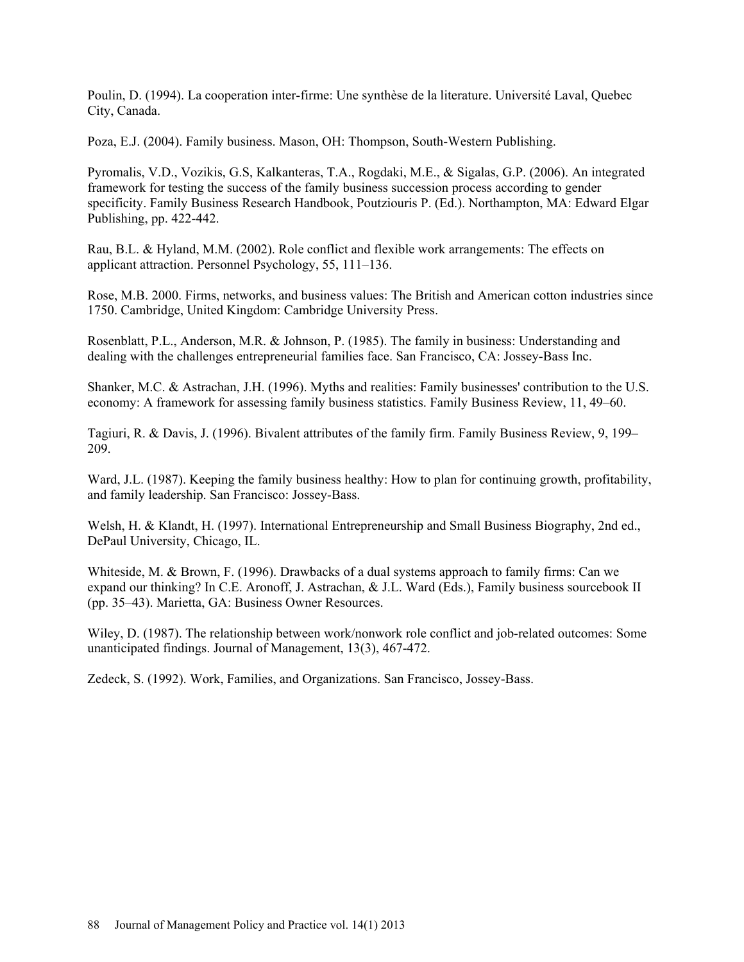Poulin, D. (1994). La cooperation inter-firme: Une synthèse de la literature. Université Laval, Quebec City, Canada.

Poza, E.J. (2004). Family business. Mason, OH: Thompson, South-Western Publishing.

Pyromalis, V.D., Vozikis, G.S, Kalkanteras, T.A., Rogdaki, M.E., & Sigalas, G.P. (2006). An integrated framework for testing the success of the family business succession process according to gender specificity. Family Business Research Handbook, Poutziouris P. (Ed.). Northampton, MA: Edward Elgar Publishing, pp. 422-442.

Rau, B.L. & Hyland, M.M. (2002). Role conflict and flexible work arrangements: The effects on applicant attraction. Personnel Psychology, 55, 111–136.

Rose, M.B. 2000. Firms, networks, and business values: The British and American cotton industries since 1750. Cambridge, United Kingdom: Cambridge University Press.

Rosenblatt, P.L., Anderson, M.R. & Johnson, P. (1985). The family in business: Understanding and dealing with the challenges entrepreneurial families face. San Francisco, CA: Jossey-Bass Inc.

Shanker, M.C. & Astrachan, J.H. (1996). Myths and realities: Family businesses' contribution to the U.S. economy: A framework for assessing family business statistics. Family Business Review, 11, 49–60.

Tagiuri, R. & Davis, J. (1996). Bivalent attributes of the family firm. Family Business Review, 9, 199– 209.

Ward, J.L. (1987). Keeping the family business healthy: How to plan for continuing growth, profitability, and family leadership. San Francisco: Jossey-Bass.

Welsh, H. & Klandt, H. (1997). International Entrepreneurship and Small Business Biography, 2nd ed., DePaul University, Chicago, IL.

Whiteside, M. & Brown, F. (1996). Drawbacks of a dual systems approach to family firms: Can we expand our thinking? In C.E. Aronoff, J. Astrachan, & J.L. Ward (Eds.), Family business sourcebook II (pp. 35–43). Marietta, GA: Business Owner Resources.

Wiley, D. (1987). The relationship between work/nonwork role conflict and job-related outcomes: Some unanticipated findings. Journal of Management, 13(3), 467-472.

Zedeck, S. (1992). Work, Families, and Organizations. San Francisco, Jossey-Bass.